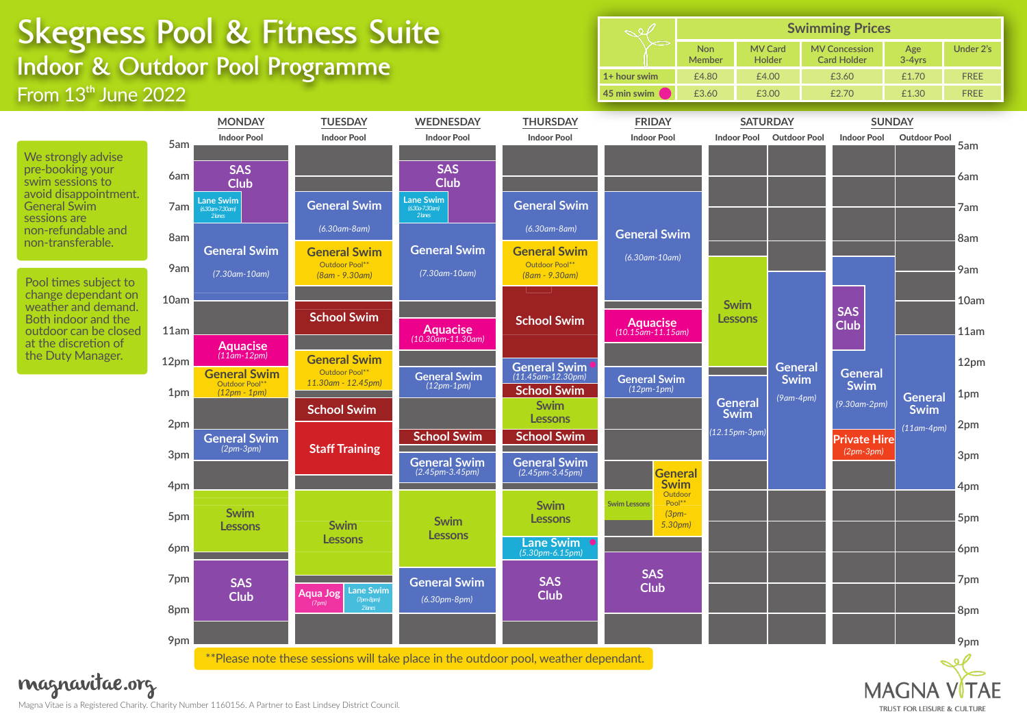## **Skegness Pool & Fitness Suite Indoor & Outdoor Pool Programme** From  $13<sup>th</sup>$  June 2022

|              | <b>Swimming Prices</b>      |                          |                                            |               |             |  |
|--------------|-----------------------------|--------------------------|--------------------------------------------|---------------|-------------|--|
|              | <b>Non</b><br><b>Member</b> | <b>MV Card</b><br>Holder | <b>MV Concession</b><br><b>Card Holder</b> | Age<br>3-4yrs | Under 2's   |  |
| 1+ hour swim | £4.80                       | £4.00                    | £3.60                                      | £1.70         | <b>FREE</b> |  |
| 45 min swim  | £3.60                       | £3.00                    | f2.70                                      | £1.30         | <b>FRFF</b> |  |



Magna Vitae is a Registered Charity. Charity Number 1160156. A Partner to East Lindsey District Council. magnavitae.org

## **MAGN** TRUST FOR LEISURE & CULTURE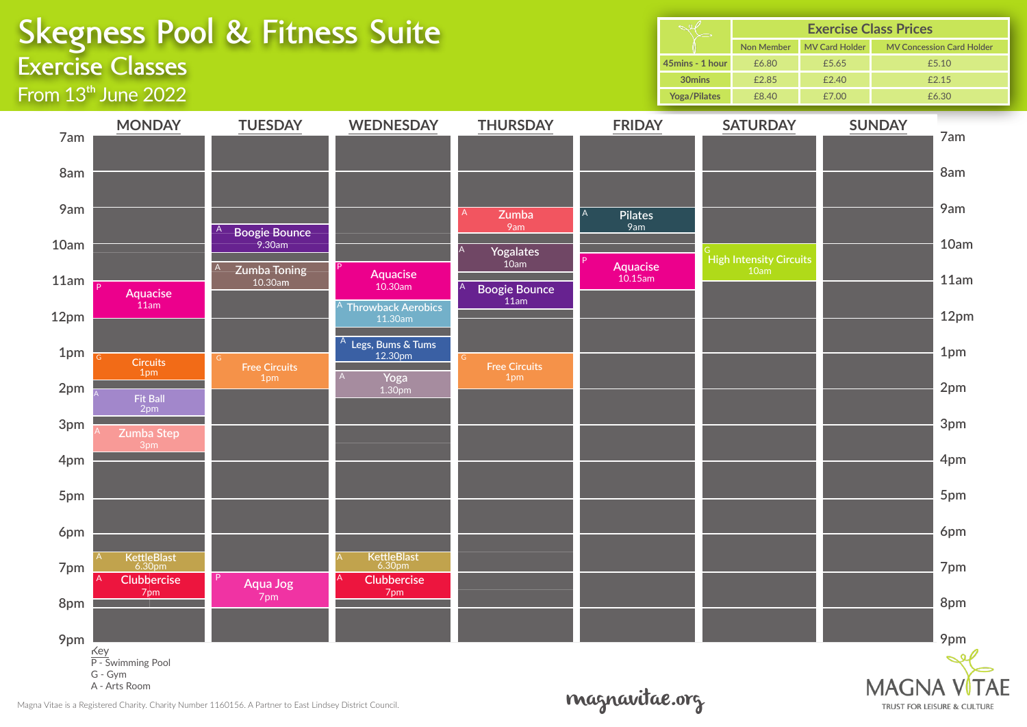|                                                                              | <b>Exercise Classes</b>                                                                                                                    | <b>Skegness Pool &amp; Fitness Suite</b>                                                                   |                                                                                                                                                       |                                                                                                                            |                                                                              | Sel<br>45mins - 1 hour<br>30mins<br><b>Yoga/Pilates</b> | <b>Non Member</b><br>£6.80<br>£2.85<br>£8.40              | MV Card Holder<br>£5.65<br>£2.40<br>£7.00 | <b>Exercise Class Prices</b><br><b>MV Concession Card Holder</b><br>£5.10<br>£2.15<br>£6.30   |
|------------------------------------------------------------------------------|--------------------------------------------------------------------------------------------------------------------------------------------|------------------------------------------------------------------------------------------------------------|-------------------------------------------------------------------------------------------------------------------------------------------------------|----------------------------------------------------------------------------------------------------------------------------|------------------------------------------------------------------------------|---------------------------------------------------------|-----------------------------------------------------------|-------------------------------------------|-----------------------------------------------------------------------------------------------|
| 7am<br>8am<br>9am<br>10am<br>11am<br>12pm<br>1pm<br>2pm<br>3pm<br>4pm<br>5pm | From $13th$ June 2022<br><b>MONDAY</b><br><b>Aquacise</b><br>11am<br><b>Circuits</b><br>1pm<br><b>Fit Ball</b><br>2pm<br>Zumba Step<br>3pm | <b>TUESDAY</b><br><b>Boogie Bounce</b><br>9.30am<br>Zumba Toning<br>10.30am<br><b>Free Circuits</b><br>1pm | <b>WEDNESDAY</b><br><b>Aquacise</b><br>10.30am<br><b>Throwback Aerobics</b><br>11.30am<br><sup>A</sup> Legs, Bums & Tums<br>12.30pm<br>Yoga<br>1.30pm | <b>THURSDAY</b><br>Zumba<br>9am<br><b>Yogalates</b><br>10am<br><b>Boogie Bounce</b><br>11am<br><b>Free Circuits</b><br>1pm | <b>FRIDAY</b><br>A<br><b>Pilates</b><br>9am<br><b>Aquacise</b><br>$10.15$ am |                                                         | <b>SATURDAY</b><br><b>High Intensity Circuits</b><br>10am |                                           | <b>SUNDAY</b><br>7am<br>8am<br>9am<br>10am<br>11am<br>12pm<br>1pm<br>2pm<br>3pm<br>4pm<br>5pm |
| 6pm<br>7pm<br>8pm<br>9pm                                                     | <b>KettleBlast</b><br>6.30pm<br>Clubbercise<br>7pm<br>Key<br>P - Swimming Pool<br>G - Gym<br>A - Arts Room                                 | Aqua Jog<br>7pm                                                                                            | <b>KettleBlast</b><br>6.30pm<br><b>Clubbercise</b><br>7pm                                                                                             |                                                                                                                            | $\mathcal{A}$                                                                |                                                         |                                                           |                                           | 6pm<br>7pm<br>8pm<br>9pm<br><b>MAGNA VÍTAE</b>                                                |

magnavitae.org

TRUST FOR LEISURE & CULTURE